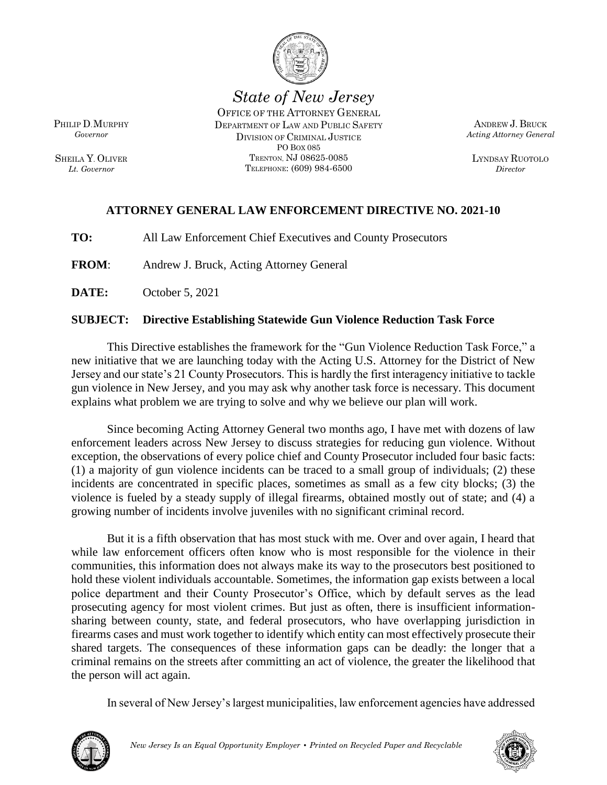

# *State of New Jersey*

OFFICE OF THE ATTORNEY GENERAL DEPARTMENT OF LAW AND PUBLIC SAFETY DIVISION OF CRIMINAL JUSTICE PO BOX 085 TRENTON, NJ 08625-0085 TELEPHONE: (609) 984-6500

ANDREW J. BRUCK *Acting Attorney General*

LYNDSAY RUOTOLO *Director*

## **ATTORNEY GENERAL LAW ENFORCEMENT DIRECTIVE NO. 2021-10**

**TO:** All Law Enforcement Chief Executives and County Prosecutors

**FROM**: Andrew J. Bruck, Acting Attorney General

**DATE:** October 5, 2021

## **SUBJECT: Directive Establishing Statewide Gun Violence Reduction Task Force**

This Directive establishes the framework for the "Gun Violence Reduction Task Force," a new initiative that we are launching today with the Acting U.S. Attorney for the District of New Jersey and our state's 21 County Prosecutors. This is hardly the first interagency initiative to tackle gun violence in New Jersey, and you may ask why another task force is necessary. This document explains what problem we are trying to solve and why we believe our plan will work.

Since becoming Acting Attorney General two months ago, I have met with dozens of law enforcement leaders across New Jersey to discuss strategies for reducing gun violence. Without exception, the observations of every police chief and County Prosecutor included four basic facts: (1) a majority of gun violence incidents can be traced to a small group of individuals; (2) these incidents are concentrated in specific places, sometimes as small as a few city blocks; (3) the violence is fueled by a steady supply of illegal firearms, obtained mostly out of state; and (4) a growing number of incidents involve juveniles with no significant criminal record.

But it is a fifth observation that has most stuck with me. Over and over again, I heard that while law enforcement officers often know who is most responsible for the violence in their communities, this information does not always make its way to the prosecutors best positioned to hold these violent individuals accountable. Sometimes, the information gap exists between a local police department and their County Prosecutor's Office, which by default serves as the lead prosecuting agency for most violent crimes. But just as often, there is insufficient informationsharing between county, state, and federal prosecutors, who have overlapping jurisdiction in firearms cases and must work together to identify which entity can most effectively prosecute their shared targets. The consequences of these information gaps can be deadly: the longer that a criminal remains on the streets after committing an act of violence, the greater the likelihood that the person will act again.

In several of New Jersey's largest municipalities, law enforcement agencies have addressed





PHILIP D.MURPHY *Governor*

SHEILA Y. OLIVER *Lt. Governor*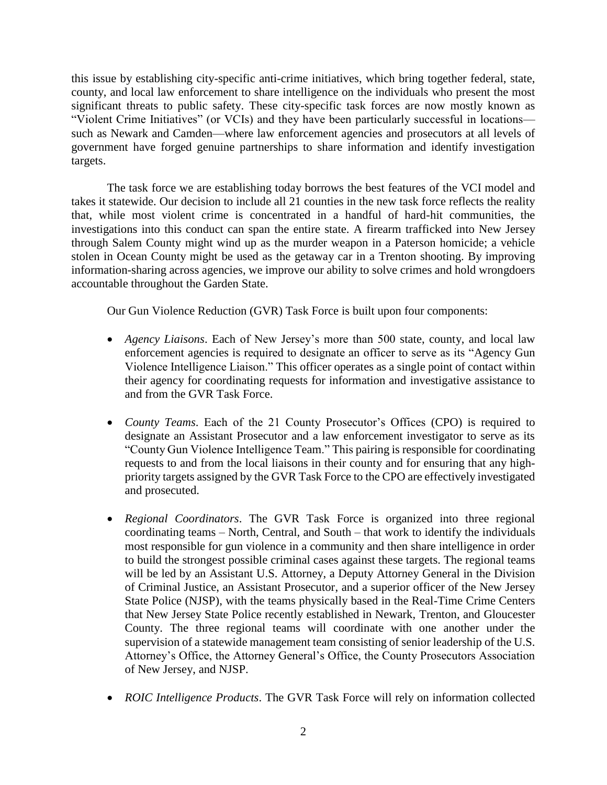this issue by establishing city-specific anti-crime initiatives, which bring together federal, state, county, and local law enforcement to share intelligence on the individuals who present the most significant threats to public safety. These city-specific task forces are now mostly known as "Violent Crime Initiatives" (or VCIs) and they have been particularly successful in locations such as Newark and Camden—where law enforcement agencies and prosecutors at all levels of government have forged genuine partnerships to share information and identify investigation targets.

The task force we are establishing today borrows the best features of the VCI model and takes it statewide. Our decision to include all 21 counties in the new task force reflects the reality that, while most violent crime is concentrated in a handful of hard-hit communities, the investigations into this conduct can span the entire state. A firearm trafficked into New Jersey through Salem County might wind up as the murder weapon in a Paterson homicide; a vehicle stolen in Ocean County might be used as the getaway car in a Trenton shooting. By improving information-sharing across agencies, we improve our ability to solve crimes and hold wrongdoers accountable throughout the Garden State.

Our Gun Violence Reduction (GVR) Task Force is built upon four components:

- *Agency Liaisons*. Each of New Jersey's more than 500 state, county, and local law enforcement agencies is required to designate an officer to serve as its "Agency Gun Violence Intelligence Liaison." This officer operates as a single point of contact within their agency for coordinating requests for information and investigative assistance to and from the GVR Task Force.
- *County Teams*. Each of the 21 County Prosecutor's Offices (CPO) is required to designate an Assistant Prosecutor and a law enforcement investigator to serve as its "County Gun Violence Intelligence Team." This pairing is responsible for coordinating requests to and from the local liaisons in their county and for ensuring that any highpriority targets assigned by the GVR Task Force to the CPO are effectively investigated and prosecuted.
- *Regional Coordinators*. The GVR Task Force is organized into three regional coordinating teams – North, Central, and South – that work to identify the individuals most responsible for gun violence in a community and then share intelligence in order to build the strongest possible criminal cases against these targets. The regional teams will be led by an Assistant U.S. Attorney, a Deputy Attorney General in the Division of Criminal Justice, an Assistant Prosecutor, and a superior officer of the New Jersey State Police (NJSP), with the teams physically based in the Real-Time Crime Centers that New Jersey State Police recently established in Newark, Trenton, and Gloucester County. The three regional teams will coordinate with one another under the supervision of a statewide management team consisting of senior leadership of the U.S. Attorney's Office, the Attorney General's Office, the County Prosecutors Association of New Jersey, and NJSP.
- *ROIC Intelligence Products*. The GVR Task Force will rely on information collected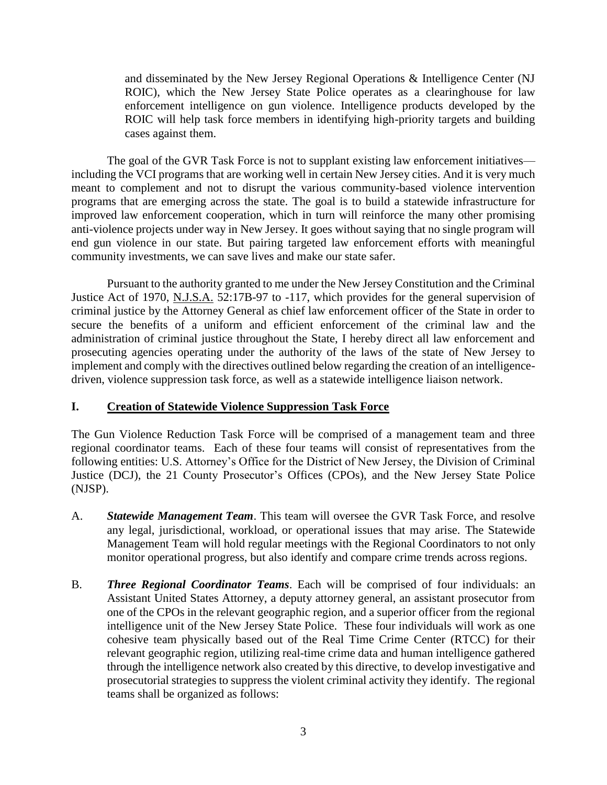and disseminated by the New Jersey Regional Operations & Intelligence Center (NJ ROIC), which the New Jersey State Police operates as a clearinghouse for law enforcement intelligence on gun violence. Intelligence products developed by the ROIC will help task force members in identifying high-priority targets and building cases against them.

The goal of the GVR Task Force is not to supplant existing law enforcement initiatives including the VCI programs that are working well in certain New Jersey cities. And it is very much meant to complement and not to disrupt the various community-based violence intervention programs that are emerging across the state. The goal is to build a statewide infrastructure for improved law enforcement cooperation, which in turn will reinforce the many other promising anti-violence projects under way in New Jersey. It goes without saying that no single program will end gun violence in our state. But pairing targeted law enforcement efforts with meaningful community investments, we can save lives and make our state safer.

Pursuant to the authority granted to me under the New Jersey Constitution and the Criminal Justice Act of 1970, N.J.S.A. 52:17B-97 to -117, which provides for the general supervision of criminal justice by the Attorney General as chief law enforcement officer of the State in order to secure the benefits of a uniform and efficient enforcement of the criminal law and the administration of criminal justice throughout the State, I hereby direct all law enforcement and prosecuting agencies operating under the authority of the laws of the state of New Jersey to implement and comply with the directives outlined below regarding the creation of an intelligencedriven, violence suppression task force, as well as a statewide intelligence liaison network.

### **I. Creation of Statewide Violence Suppression Task Force**

The Gun Violence Reduction Task Force will be comprised of a management team and three regional coordinator teams. Each of these four teams will consist of representatives from the following entities: U.S. Attorney's Office for the District of New Jersey, the Division of Criminal Justice (DCJ), the 21 County Prosecutor's Offices (CPOs), and the New Jersey State Police (NJSP).

- A. *Statewide Management Team*. This team will oversee the GVR Task Force, and resolve any legal, jurisdictional, workload, or operational issues that may arise. The Statewide Management Team will hold regular meetings with the Regional Coordinators to not only monitor operational progress, but also identify and compare crime trends across regions.
- B. *Three Regional Coordinator Teams*. Each will be comprised of four individuals: an Assistant United States Attorney, a deputy attorney general, an assistant prosecutor from one of the CPOs in the relevant geographic region, and a superior officer from the regional intelligence unit of the New Jersey State Police. These four individuals will work as one cohesive team physically based out of the Real Time Crime Center (RTCC) for their relevant geographic region, utilizing real-time crime data and human intelligence gathered through the intelligence network also created by this directive, to develop investigative and prosecutorial strategies to suppress the violent criminal activity they identify. The regional teams shall be organized as follows: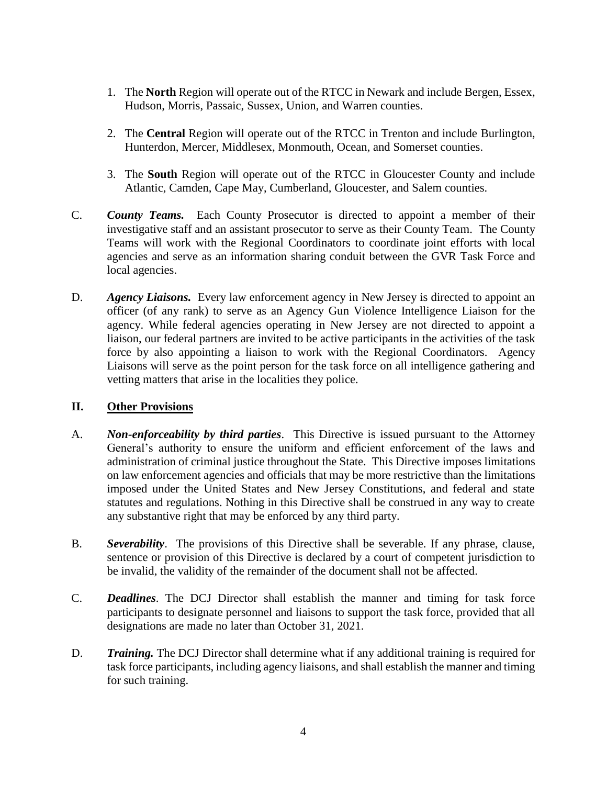- 1. The **North** Region will operate out of the RTCC in Newark and include Bergen, Essex, Hudson, Morris, Passaic, Sussex, Union, and Warren counties.
- 2. The **Central** Region will operate out of the RTCC in Trenton and include Burlington, Hunterdon, Mercer, Middlesex, Monmouth, Ocean, and Somerset counties.
- 3. The **South** Region will operate out of the RTCC in Gloucester County and include Atlantic, Camden, Cape May, Cumberland, Gloucester, and Salem counties.
- C. *County Teams.* Each County Prosecutor is directed to appoint a member of their investigative staff and an assistant prosecutor to serve as their County Team. The County Teams will work with the Regional Coordinators to coordinate joint efforts with local agencies and serve as an information sharing conduit between the GVR Task Force and local agencies.
- D. *Agency Liaisons.* Every law enforcement agency in New Jersey is directed to appoint an officer (of any rank) to serve as an Agency Gun Violence Intelligence Liaison for the agency. While federal agencies operating in New Jersey are not directed to appoint a liaison, our federal partners are invited to be active participants in the activities of the task force by also appointing a liaison to work with the Regional Coordinators. Agency Liaisons will serve as the point person for the task force on all intelligence gathering and vetting matters that arise in the localities they police.

### **II. Other Provisions**

- A. *Non-enforceability by third parties*. This Directive is issued pursuant to the Attorney General's authority to ensure the uniform and efficient enforcement of the laws and administration of criminal justice throughout the State. This Directive imposes limitations on law enforcement agencies and officials that may be more restrictive than the limitations imposed under the United States and New Jersey Constitutions, and federal and state statutes and regulations. Nothing in this Directive shall be construed in any way to create any substantive right that may be enforced by any third party.
- B. *Severability*. The provisions of this Directive shall be severable. If any phrase, clause, sentence or provision of this Directive is declared by a court of competent jurisdiction to be invalid, the validity of the remainder of the document shall not be affected.
- C. *Deadlines*. The DCJ Director shall establish the manner and timing for task force participants to designate personnel and liaisons to support the task force, provided that all designations are made no later than October 31, 2021.
- D. **Training.** The DCJ Director shall determine what if any additional training is required for task force participants, including agency liaisons, and shall establish the manner and timing for such training.